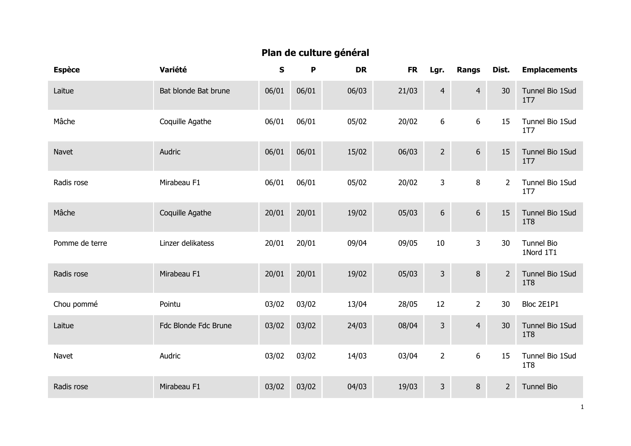## Plan de culture général

| <b>Espèce</b>  | Variété              | ${\sf s}$ | P     | <b>DR</b> | <b>FR</b> | Lgr.            | Rangs          | Dist.       | <b>Emplacements</b>                |
|----------------|----------------------|-----------|-------|-----------|-----------|-----------------|----------------|-------------|------------------------------------|
| Laitue         | Bat blonde Bat brune | 06/01     | 06/01 | 06/03     | 21/03     | $\overline{4}$  | $\overline{4}$ | 30          | Tunnel Bio 1Sud<br>1T <sub>7</sub> |
| Mâche          | Coquille Agathe      | 06/01     | 06/01 | 05/02     | 20/02     | 6               | 6              | 15          | Tunnel Bio 1Sud<br><b>1T7</b>      |
| Navet          | Audric               | 06/01     | 06/01 | 15/02     | 06/03     | $2^{\circ}$     | $6\,$          | 15          | Tunnel Bio 1Sud<br>1T7             |
| Radis rose     | Mirabeau F1          | 06/01     | 06/01 | 05/02     | 20/02     | $\mathbf{3}$    | 8              | $2^{\circ}$ | Tunnel Bio 1Sud<br>1T7             |
| Mâche          | Coquille Agathe      | 20/01     | 20/01 | 19/02     | 05/03     | $6\,$           | $6\phantom{a}$ | 15          | Tunnel Bio 1Sud<br>1T8             |
| Pomme de terre | Linzer delikatess    | 20/01     | 20/01 | 09/04     | 09/05     | 10              | $\mathbf{3}$   | 30          | Tunnel Bio<br>1Nord 1T1            |
| Radis rose     | Mirabeau F1          | 20/01     | 20/01 | 19/02     | 05/03     | $\mathbf{3}$    | $\bf 8$        | $2^{\circ}$ | Tunnel Bio 1Sud<br>1T8             |
| Chou pommé     | Pointu               | 03/02     | 03/02 | 13/04     | 28/05     | 12              | $\overline{2}$ | 30          | Bloc 2E1P1                         |
| Laitue         | Fdc Blonde Fdc Brune | 03/02     | 03/02 | 24/03     | 08/04     | $\overline{3}$  | $\overline{4}$ | 30          | Tunnel Bio 1Sud<br>1T8             |
| Navet          | Audric               | 03/02     | 03/02 | 14/03     | 03/04     | $2\overline{ }$ | $6\phantom{a}$ | 15          | Tunnel Bio 1Sud<br><b>1T8</b>      |
| Radis rose     | Mirabeau F1          | 03/02     | 03/02 | 04/03     | 19/03     | 3 <sup>1</sup>  | 8              | $2^{\circ}$ | <b>Tunnel Bio</b>                  |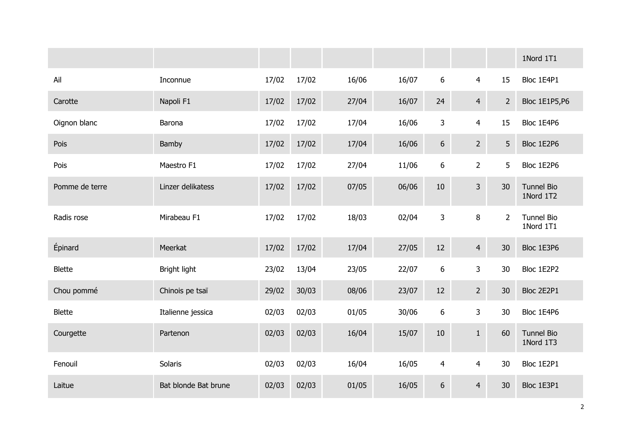|                |                      |       |       |       |       |                  |                |                | 1Nord 1T1                      |
|----------------|----------------------|-------|-------|-------|-------|------------------|----------------|----------------|--------------------------------|
| Ail            | Inconnue             | 17/02 | 17/02 | 16/06 | 16/07 | 6                | $\overline{4}$ | 15             | Bloc 1E4P1                     |
| Carotte        | Napoli F1            | 17/02 | 17/02 | 27/04 | 16/07 | 24               | $\overline{4}$ | $2^{\circ}$    | <b>Bloc 1E1P5,P6</b>           |
| Oignon blanc   | Barona               | 17/02 | 17/02 | 17/04 | 16/06 | 3                | $\overline{4}$ | 15             | Bloc 1E4P6                     |
| Pois           | Bamby                | 17/02 | 17/02 | 17/04 | 16/06 | $\boldsymbol{6}$ | $2^{\circ}$    | 5              | Bloc 1E2P6                     |
| Pois           | Maestro F1           | 17/02 | 17/02 | 27/04 | 11/06 | 6                | $\overline{2}$ | 5              | Bloc 1E2P6                     |
| Pomme de terre | Linzer delikatess    | 17/02 | 17/02 | 07/05 | 06/06 | $10\,$           | $\overline{3}$ | 30             | <b>Tunnel Bio</b><br>1Nord 1T2 |
| Radis rose     | Mirabeau F1          | 17/02 | 17/02 | 18/03 | 02/04 | $\mathsf{3}$     | 8              | $\overline{2}$ | <b>Tunnel Bio</b><br>1Nord 1T1 |
| Épinard        | Meerkat              | 17/02 | 17/02 | 17/04 | 27/05 | 12               | $\overline{4}$ | 30             | Bloc 1E3P6                     |
| <b>Blette</b>  | Bright light         | 23/02 | 13/04 | 23/05 | 22/07 | 6                | 3              | 30             | Bloc 1E2P2                     |
| Chou pommé     | Chinois pe tsaï      | 29/02 | 30/03 | 08/06 | 23/07 | 12               | $2^{\circ}$    | 30             | Bloc 2E2P1                     |
| <b>Blette</b>  | Italienne jessica    | 02/03 | 02/03 | 01/05 | 30/06 | 6                | 3              | 30             | Bloc 1E4P6                     |
| Courgette      | Partenon             | 02/03 | 02/03 | 16/04 | 15/07 | 10               | $\mathbf{1}$   | 60             | <b>Tunnel Bio</b><br>1Nord 1T3 |
| Fenouil        | Solaris              | 02/03 | 02/03 | 16/04 | 16/05 | $\overline{4}$   | 4              | 30             | Bloc 1E2P1                     |
| Laitue         | Bat blonde Bat brune | 02/03 | 02/03 | 01/05 | 16/05 | $6\,$            | $\overline{4}$ | 30             | Bloc 1E3P1                     |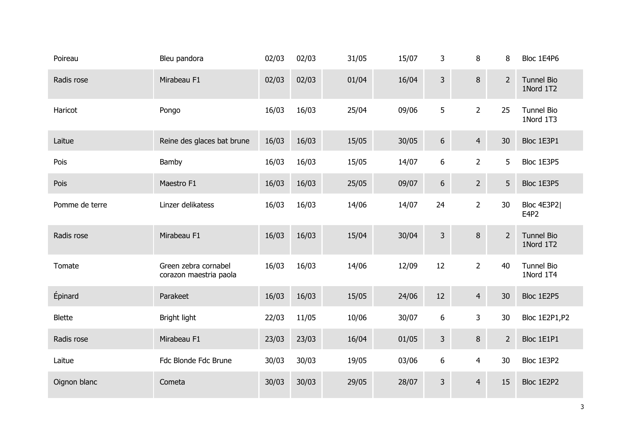| Poireau        | Bleu pandora                                   | 02/03 | 02/03 | 31/05 | 15/07 | 3                | 8              | 8              | Bloc 1E4P6                     |
|----------------|------------------------------------------------|-------|-------|-------|-------|------------------|----------------|----------------|--------------------------------|
| Radis rose     | Mirabeau F1                                    | 02/03 | 02/03 | 01/04 | 16/04 | $\mathsf{3}$     | 8              | $2^{\circ}$    | <b>Tunnel Bio</b><br>1Nord 1T2 |
| Haricot        | Pongo                                          | 16/03 | 16/03 | 25/04 | 09/06 | 5                | $\overline{2}$ | 25             | <b>Tunnel Bio</b><br>1Nord 1T3 |
| Laitue         | Reine des glaces bat brune                     | 16/03 | 16/03 | 15/05 | 30/05 | $\sqrt{6}$       | $\overline{4}$ | 30             | Bloc 1E3P1                     |
| Pois           | Bamby                                          | 16/03 | 16/03 | 15/05 | 14/07 | 6                | $2^{\circ}$    | 5              | Bloc 1E3P5                     |
| Pois           | Maestro F1                                     | 16/03 | 16/03 | 25/05 | 09/07 | $\sqrt{6}$       | 2 <sup>1</sup> | 5              | Bloc 1E3P5                     |
| Pomme de terre | Linzer delikatess                              | 16/03 | 16/03 | 14/06 | 14/07 | 24               | $\overline{2}$ | 30             | Bloc 4E3P2 <br>E4P2            |
| Radis rose     | Mirabeau F1                                    | 16/03 | 16/03 | 15/04 | 30/04 | $\mathsf{3}$     | 8              | $\overline{2}$ | <b>Tunnel Bio</b><br>1Nord 1T2 |
| Tomate         | Green zebra cornabel<br>corazon maestria paola | 16/03 | 16/03 | 14/06 | 12/09 | 12               | $\overline{2}$ | 40             | <b>Tunnel Bio</b><br>1Nord 1T4 |
| Épinard        | Parakeet                                       | 16/03 | 16/03 | 15/05 | 24/06 | 12               | $\overline{4}$ | 30             | Bloc 1E2P5                     |
| <b>Blette</b>  | Bright light                                   | 22/03 | 11/05 | 10/06 | 30/07 | $\boldsymbol{6}$ | 3              | 30             | Bloc 1E2P1, P2                 |
| Radis rose     | Mirabeau F1                                    | 23/03 | 23/03 | 16/04 | 01/05 | $\mathsf{3}$     | 8              | $\overline{2}$ | Bloc 1E1P1                     |
| Laitue         | Fdc Blonde Fdc Brune                           | 30/03 | 30/03 | 19/05 | 03/06 | 6                | $\overline{4}$ | 30             | Bloc 1E3P2                     |
| Oignon blanc   | Cometa                                         | 30/03 | 30/03 | 29/05 | 28/07 | $\mathsf{3}$     | $\overline{4}$ | 15             | Bloc 1E2P2                     |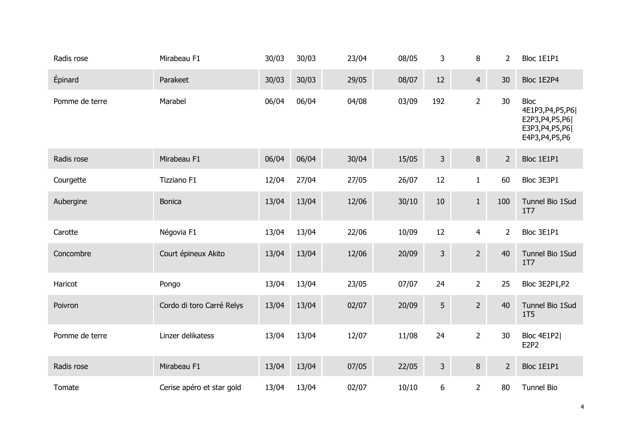| Radis rose     | Mirabeau F1               | 30/03 | 30/03 | 23/04 | 08/05 | 3              | 8                | 2              | Bloc 1E1P1                                                                                      |
|----------------|---------------------------|-------|-------|-------|-------|----------------|------------------|----------------|-------------------------------------------------------------------------------------------------|
| Épinard        | Parakeet                  | 30/03 | 30/03 | 29/05 | 08/07 | 12             | $\overline{4}$   | 30             | Bloc 1E2P4                                                                                      |
| Pomme de terre | Marabel                   | 06/04 | 06/04 | 04/08 | 03/09 | 192            | $\overline{2}$   | 30             | <b>Bloc</b><br>4E1P3, P4, P5, P6 <br>E2P3, P4, P5, P6 <br>E3P3, P4, P5, P6 <br>E4P3, P4, P5, P6 |
| Radis rose     | Mirabeau F1               | 06/04 | 06/04 | 30/04 | 15/05 | $\mathsf{3}$   | $\, 8$           | $\overline{2}$ | Bloc 1E1P1                                                                                      |
| Courgette      | Tizziano F1               | 12/04 | 27/04 | 27/05 | 26/07 | 12             | $\mathbf{1}$     | 60             | Bloc 3E3P1                                                                                      |
| Aubergine      | <b>Bonica</b>             | 13/04 | 13/04 | 12/06 | 30/10 | 10             | $\mathbf{1}$     | 100            | Tunnel Bio 1Sud<br>1T7                                                                          |
| Carotte        | Négovia F1                | 13/04 | 13/04 | 22/06 | 10/09 | 12             | $\overline{4}$   | $\overline{2}$ | Bloc 3E1P1                                                                                      |
| Concombre      | Court épineux Akito       | 13/04 | 13/04 | 12/06 | 20/09 | $\overline{3}$ | $\overline{2}$   | 40             | Tunnel Bio 1Sud<br>1T <sub>7</sub>                                                              |
| Haricot        | Pongo                     | 13/04 | 13/04 | 23/05 | 07/07 | 24             | $\overline{2}$   | 25             | Bloc 3E2P1, P2                                                                                  |
| Poivron        | Cordo di toro Carré Relys | 13/04 | 13/04 | 02/07 | 20/09 | 5              | $\overline{2}$   | 40             | Tunnel Bio 1Sud<br>1T <sub>5</sub>                                                              |
| Pomme de terre | Linzer delikatess         | 13/04 | 13/04 | 12/07 | 11/08 | 24             | $2 \overline{ }$ | 30             | Bloc 4E1P2 <br>E2P2                                                                             |
| Radis rose     | Mirabeau F1               | 13/04 | 13/04 | 07/05 | 22/05 | 3              | 8                | $2^{\circ}$    | Bloc 1E1P1                                                                                      |
| Tomate         | Cerise apéro et star gold | 13/04 | 13/04 | 02/07 | 10/10 | 6              | $\overline{2}$   | 80             | <b>Tunnel Bio</b>                                                                               |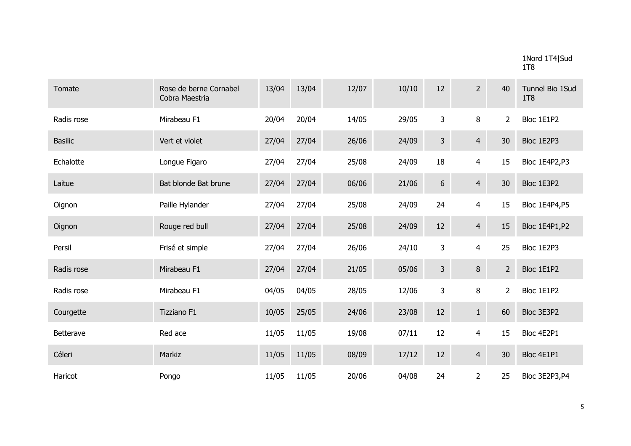## 1Nord 1T4|Sud 1T8

| Tomate         | Rose de berne Cornabel<br>Cobra Maestria | 13/04 | 13/04 | 12/07 | 10/10 | 12              | $2^{\circ}$    | 40             | Tunnel Bio 1Sud<br>1T8 |
|----------------|------------------------------------------|-------|-------|-------|-------|-----------------|----------------|----------------|------------------------|
| Radis rose     | Mirabeau F1                              | 20/04 | 20/04 | 14/05 | 29/05 | 3               | 8              | $\overline{2}$ | Bloc 1E1P2             |
| <b>Basilic</b> | Vert et violet                           | 27/04 | 27/04 | 26/06 | 24/09 | $\mathbf{3}$    | $\overline{4}$ | 30             | Bloc 1E2P3             |
| Echalotte      | Longue Figaro                            | 27/04 | 27/04 | 25/08 | 24/09 | 18              | $\overline{4}$ | 15             | Bloc 1E4P2,P3          |
| Laitue         | Bat blonde Bat brune                     | 27/04 | 27/04 | 06/06 | 21/06 | $6\phantom{.}6$ | $\overline{4}$ | 30             | Bloc 1E3P2             |
| Oignon         | Paille Hylander                          | 27/04 | 27/04 | 25/08 | 24/09 | 24              | $\overline{4}$ | 15             | <b>Bloc 1E4P4,P5</b>   |
| Oignon         | Rouge red bull                           | 27/04 | 27/04 | 25/08 | 24/09 | 12              | $\overline{4}$ | 15             | Bloc 1E4P1, P2         |
| Persil         | Frisé et simple                          | 27/04 | 27/04 | 26/06 | 24/10 | 3               | 4              | 25             | Bloc 1E2P3             |
| Radis rose     | Mirabeau F1                              | 27/04 | 27/04 | 21/05 | 05/06 | $\mathbf{3}$    | 8              | $2^{\circ}$    | Bloc 1E1P2             |
| Radis rose     | Mirabeau F1                              | 04/05 | 04/05 | 28/05 | 12/06 | 3               | 8              | $\overline{2}$ | Bloc 1E1P2             |
| Courgette      | Tizziano F1                              | 10/05 | 25/05 | 24/06 | 23/08 | 12              | $\mathbf{1}$   | 60             | Bloc 3E3P2             |
| Betterave      | Red ace                                  | 11/05 | 11/05 | 19/08 | 07/11 | 12              | $\overline{4}$ | 15             | Bloc 4E2P1             |
| Céleri         | Markiz                                   | 11/05 | 11/05 | 08/09 | 17/12 | 12              | $\overline{4}$ | 30             | Bloc 4E1P1             |
| Haricot        | Pongo                                    | 11/05 | 11/05 | 20/06 | 04/08 | 24              | $\overline{2}$ | 25             | Bloc 3E2P3,P4          |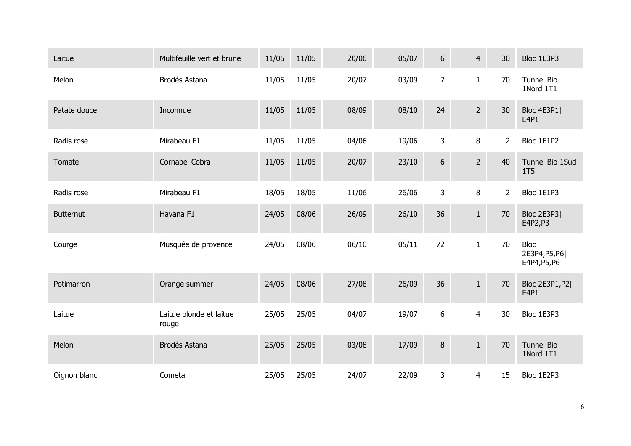| Laitue           | Multifeuille vert et brune       | 11/05 | 11/05 | 20/06 | 05/07 | 6              | $\overline{4}$   | 30             | Bloc 1E3P3                                    |
|------------------|----------------------------------|-------|-------|-------|-------|----------------|------------------|----------------|-----------------------------------------------|
| Melon            | Brodés Astana                    | 11/05 | 11/05 | 20/07 | 03/09 | $\overline{7}$ | $\mathbf{1}$     | 70             | <b>Tunnel Bio</b><br>1Nord 1T1                |
| Patate douce     | Inconnue                         | 11/05 | 11/05 | 08/09 | 08/10 | 24             | $\overline{2}$   | 30             | Bloc 4E3P1<br>E4P1                            |
| Radis rose       | Mirabeau F1                      | 11/05 | 11/05 | 04/06 | 19/06 | 3              | 8                | $\overline{2}$ | Bloc 1E1P2                                    |
| Tomate           | Cornabel Cobra                   | 11/05 | 11/05 | 20/07 | 23/10 | 6              | $2 \overline{ }$ | 40             | Tunnel Bio 1Sud<br>1T5                        |
| Radis rose       | Mirabeau F1                      | 18/05 | 18/05 | 11/06 | 26/06 | 3              | 8                | $2^{\circ}$    | Bloc 1E1P3                                    |
| <b>Butternut</b> | Havana F1                        | 24/05 | 08/06 | 26/09 | 26/10 | 36             | $\mathbf{1}$     | 70             | Bloc 2E3P3 <br>E4P2, P3                       |
| Courge           | Musquée de provence              | 24/05 | 08/06 | 06/10 | 05/11 | 72             | $\mathbf{1}$     | 70             | <b>Bloc</b><br>2E3P4, P5, P6 <br>E4P4, P5, P6 |
| Potimarron       | Orange summer                    | 24/05 | 08/06 | 27/08 | 26/09 | 36             | $\mathbf{1}$     | 70             | <b>Bloc 2E3P1,P2 </b><br>E4P1                 |
| Laitue           | Laitue blonde et laitue<br>rouge | 25/05 | 25/05 | 04/07 | 19/07 | 6              | $\overline{4}$   | 30             | Bloc 1E3P3                                    |
| Melon            | Brodés Astana                    | 25/05 | 25/05 | 03/08 | 17/09 | $\, 8$         | $1\,$            | 70             | <b>Tunnel Bio</b><br>1Nord 1T1                |
| Oignon blanc     | Cometa                           | 25/05 | 25/05 | 24/07 | 22/09 | 3              | 4                | 15             | Bloc 1E2P3                                    |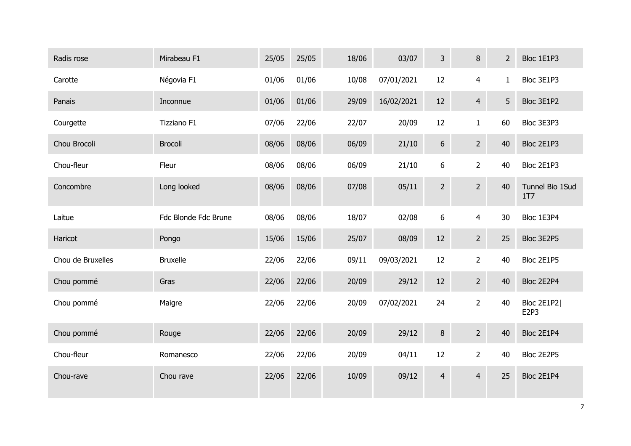| Radis rose        | Mirabeau F1          | 25/05 | 25/05 | 18/06 | 03/07      | 3              | 8                | $2^{\circ}$  | Bloc 1E1P3             |
|-------------------|----------------------|-------|-------|-------|------------|----------------|------------------|--------------|------------------------|
| Carotte           | Négovia F1           | 01/06 | 01/06 | 10/08 | 07/01/2021 | $12\,$         | $\overline{4}$   | $\mathbf{1}$ | Bloc 3E1P3             |
| Panais            | Inconnue             | 01/06 | 01/06 | 29/09 | 16/02/2021 | 12             | $\overline{4}$   | 5            | Bloc 3E1P2             |
| Courgette         | Tizziano F1          | 07/06 | 22/06 | 22/07 | 20/09      | 12             | $\mathbf{1}$     | 60           | Bloc 3E3P3             |
| Chou Brocoli      | <b>Brocoli</b>       | 08/06 | 08/06 | 06/09 | 21/10      | $6\phantom{.}$ | $2 \overline{ }$ | 40           | Bloc 2E1P3             |
| Chou-fleur        | Fleur                | 08/06 | 08/06 | 06/09 | 21/10      | 6              | $\overline{2}$   | 40           | Bloc 2E1P3             |
| Concombre         | Long looked          | 08/06 | 08/06 | 07/08 | 05/11      | $\overline{2}$ | $\overline{2}$   | 40           | Tunnel Bio 1Sud<br>1T7 |
| Laitue            | Fdc Blonde Fdc Brune | 08/06 | 08/06 | 18/07 | 02/08      | $6\,$          | 4                | 30           | Bloc 1E3P4             |
| Haricot           | Pongo                | 15/06 | 15/06 | 25/07 | 08/09      | 12             | $2 \overline{ }$ | 25           | Bloc 3E2P5             |
| Chou de Bruxelles | <b>Bruxelle</b>      | 22/06 | 22/06 | 09/11 | 09/03/2021 | 12             | $\overline{2}$   | 40           | Bloc 2E1P5             |
| Chou pommé        | Gras                 | 22/06 | 22/06 | 20/09 | 29/12      | 12             | $\overline{2}$   | 40           | Bloc 2E2P4             |
| Chou pommé        | Maigre               | 22/06 | 22/06 | 20/09 | 07/02/2021 | 24             | $\overline{2}$   | 40           | Bloc 2E1P2 <br>E2P3    |
| Chou pommé        | Rouge                | 22/06 | 22/06 | 20/09 | 29/12      | $\,8\,$        | $2^{\circ}$      | 40           | Bloc 2E1P4             |
| Chou-fleur        | Romanesco            | 22/06 | 22/06 | 20/09 | 04/11      | 12             | $\overline{2}$   | 40           | Bloc 2E2P5             |
| Chou-rave         | Chou rave            | 22/06 | 22/06 | 10/09 | 09/12      | $\overline{4}$ | $\overline{4}$   | 25           | Bloc 2E1P4             |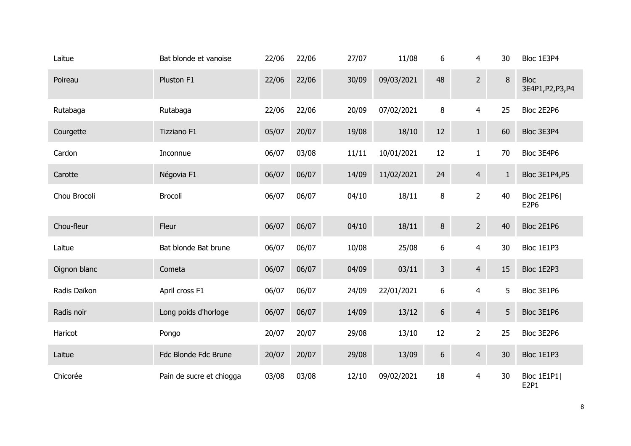| Laitue       | Bat blonde et vanoise    | 22/06 | 22/06 | 27/07 | 11/08      | 6              | 4              | 30     | Bloc 1E3P4                       |
|--------------|--------------------------|-------|-------|-------|------------|----------------|----------------|--------|----------------------------------|
| Poireau      | Pluston F1               | 22/06 | 22/06 | 30/09 | 09/03/2021 | 48             | $\overline{2}$ | $\, 8$ | <b>Bloc</b><br>3E4P1, P2, P3, P4 |
| Rutabaga     | Rutabaga                 | 22/06 | 22/06 | 20/09 | 07/02/2021 | 8              | $\overline{4}$ | 25     | Bloc 2E2P6                       |
| Courgette    | Tizziano F1              | 05/07 | 20/07 | 19/08 | 18/10      | 12             | $\mathbf{1}$   | 60     | Bloc 3E3P4                       |
| Cardon       | Inconnue                 | 06/07 | 03/08 | 11/11 | 10/01/2021 | 12             | $\mathbf{1}$   | 70     | Bloc 3E4P6                       |
| Carotte      | Négovia F1               | 06/07 | 06/07 | 14/09 | 11/02/2021 | 24             | $\overline{4}$ | $1\,$  | Bloc 3E1P4,P5                    |
| Chou Brocoli | Brocoli                  | 06/07 | 06/07 | 04/10 | 18/11      | 8              | $\overline{2}$ | 40     | Bloc 2E1P6<br>E2P6               |
| Chou-fleur   | Fleur                    | 06/07 | 06/07 | 04/10 | 18/11      | 8              | 2 <sup>1</sup> | 40     | Bloc 2E1P6                       |
| Laitue       | Bat blonde Bat brune     | 06/07 | 06/07 | 10/08 | 25/08      | 6              | $\overline{4}$ | 30     | Bloc 1E1P3                       |
| Oignon blanc | Cometa                   | 06/07 | 06/07 | 04/09 | 03/11      | $\overline{3}$ | $\overline{4}$ | 15     | Bloc 1E2P3                       |
| Radis Daïkon | April cross F1           | 06/07 | 06/07 | 24/09 | 22/01/2021 | 6              | $\overline{4}$ | 5      | Bloc 3E1P6                       |
| Radis noir   | Long poids d'horloge     | 06/07 | 06/07 | 14/09 | 13/12      | 6              | $\overline{4}$ | 5      | Bloc 3E1P6                       |
| Haricot      | Pongo                    | 20/07 | 20/07 | 29/08 | 13/10      | 12             | $\overline{2}$ | 25     | Bloc 3E2P6                       |
| Laitue       | Fdc Blonde Fdc Brune     | 20/07 | 20/07 | 29/08 | 13/09      | 6              | $\overline{4}$ | 30     | Bloc 1E1P3                       |
| Chicorée     | Pain de sucre et chiogga | 03/08 | 03/08 | 12/10 | 09/02/2021 | 18             | $\overline{4}$ | 30     | Bloc 1E1P1<br>E2P1               |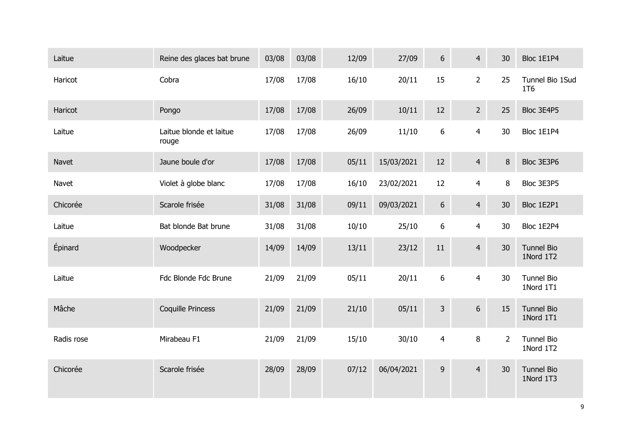| Laitue     | Reine des glaces bat brune       | 03/08 | 03/08 | 12/09 | 27/09      | $6\phantom{.}$ | $\overline{4}$ | 30             | Bloc 1E1P4                     |
|------------|----------------------------------|-------|-------|-------|------------|----------------|----------------|----------------|--------------------------------|
| Haricot    | Cobra                            | 17/08 | 17/08 | 16/10 | 20/11      | 15             | $\overline{2}$ | 25             | Tunnel Bio 1Sud<br>1T6         |
| Haricot    | Pongo                            | 17/08 | 17/08 | 26/09 | 10/11      | 12             | $\overline{2}$ | 25             | Bloc 3E4P5                     |
| Laitue     | Laitue blonde et laitue<br>rouge | 17/08 | 17/08 | 26/09 | 11/10      | 6              | $\overline{4}$ | 30             | Bloc 1E1P4                     |
| Navet      | Jaune boule d'or                 | 17/08 | 17/08 | 05/11 | 15/03/2021 | 12             | $\overline{4}$ | $\bf 8$        | Bloc 3E3P6                     |
| Navet      | Violet à globe blanc             | 17/08 | 17/08 | 16/10 | 23/02/2021 | $12\,$         | $\overline{4}$ | 8              | Bloc 3E3P5                     |
| Chicorée   | Scarole frisée                   | 31/08 | 31/08 | 09/11 | 09/03/2021 | $6\phantom{.}$ | $\overline{4}$ | 30             | Bloc 1E2P1                     |
| Laitue     | Bat blonde Bat brune             | 31/08 | 31/08 | 10/10 | 25/10      | 6              | $\overline{4}$ | 30             | Bloc 1E2P4                     |
| Épinard    | Woodpecker                       | 14/09 | 14/09 | 13/11 | 23/12      | 11             | $\overline{4}$ | 30             | <b>Tunnel Bio</b><br>1Nord 1T2 |
| Laitue     | Fdc Blonde Fdc Brune             | 21/09 | 21/09 | 05/11 | 20/11      | 6              | $\overline{4}$ | 30             | Tunnel Bio<br>1Nord 1T1        |
| Mâche      | Coquille Princess                | 21/09 | 21/09 | 21/10 | 05/11      | 3 <sup>1</sup> | 6              | 15             | <b>Tunnel Bio</b><br>1Nord 1T1 |
| Radis rose | Mirabeau F1                      | 21/09 | 21/09 | 15/10 | 30/10      | $\overline{4}$ | 8              | $\overline{2}$ | Tunnel Bio<br>1Nord 1T2        |
| Chicorée   | Scarole frisée                   | 28/09 | 28/09 | 07/12 | 06/04/2021 | 9 <sup>°</sup> | $\overline{4}$ | 30             | <b>Tunnel Bio</b><br>1Nord 1T3 |
|            |                                  |       |       |       |            |                |                |                |                                |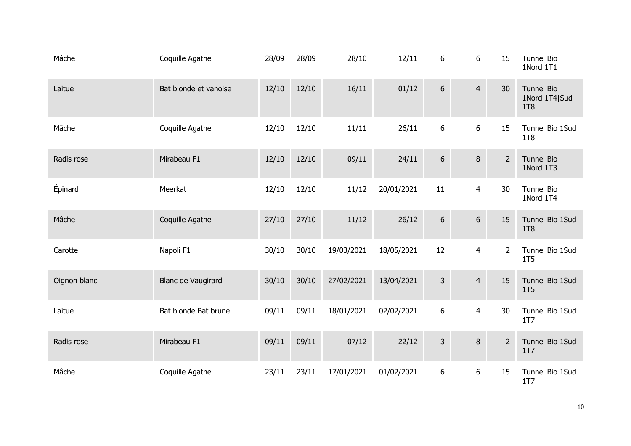| Mâche        | Coquille Agathe       | 28/09 | 28/09 | 28/10      | 12/11      | 6              | 6                | 15             | <b>Tunnel Bio</b><br>1Nord 1T1                   |
|--------------|-----------------------|-------|-------|------------|------------|----------------|------------------|----------------|--------------------------------------------------|
| Laitue       | Bat blonde et vanoise | 12/10 | 12/10 | 16/11      | 01/12      | $6\,$          | $\overline{4}$   | 30             | <b>Tunnel Bio</b><br>1Nord 1T4 Sud<br><b>1T8</b> |
| Mâche        | Coquille Agathe       | 12/10 | 12/10 | 11/11      | 26/11      | 6              | $\boldsymbol{6}$ | 15             | Tunnel Bio 1Sud<br>1T8                           |
| Radis rose   | Mirabeau F1           | 12/10 | 12/10 | 09/11      | 24/11      | $6\,$          | 8                | $\overline{2}$ | <b>Tunnel Bio</b><br>1Nord 1T3                   |
| Épinard      | Meerkat               | 12/10 | 12/10 | 11/12      | 20/01/2021 | 11             | $\overline{4}$   | 30             | <b>Tunnel Bio</b><br>1Nord 1T4                   |
| Mâche        | Coquille Agathe       | 27/10 | 27/10 | 11/12      | 26/12      | $6\,$          | $6\phantom{1}$   | 15             | Tunnel Bio 1Sud<br>1T8                           |
| Carotte      | Napoli F1             | 30/10 | 30/10 | 19/03/2021 | 18/05/2021 | 12             | $\overline{4}$   | $\overline{2}$ | Tunnel Bio 1Sud<br>1T5                           |
| Oignon blanc | Blanc de Vaugirard    | 30/10 | 30/10 | 27/02/2021 | 13/04/2021 | $\mathsf{3}$   | $\overline{4}$   | 15             | Tunnel Bio 1Sud<br>1T <sub>5</sub>               |
| Laitue       | Bat blonde Bat brune  | 09/11 | 09/11 | 18/01/2021 | 02/02/2021 | $6\phantom{a}$ | $\overline{4}$   | 30             | Tunnel Bio 1Sud<br>1T7                           |
| Radis rose   | Mirabeau F1           | 09/11 | 09/11 | 07/12      | 22/12      | $\mathsf{3}$   | 8                | $2^{\circ}$    | Tunnel Bio 1Sud<br>1T <sub>7</sub>               |
| Mâche        | Coquille Agathe       | 23/11 | 23/11 | 17/01/2021 | 01/02/2021 | 6              | $6\,$            | 15             | Tunnel Bio 1Sud<br>1T7                           |